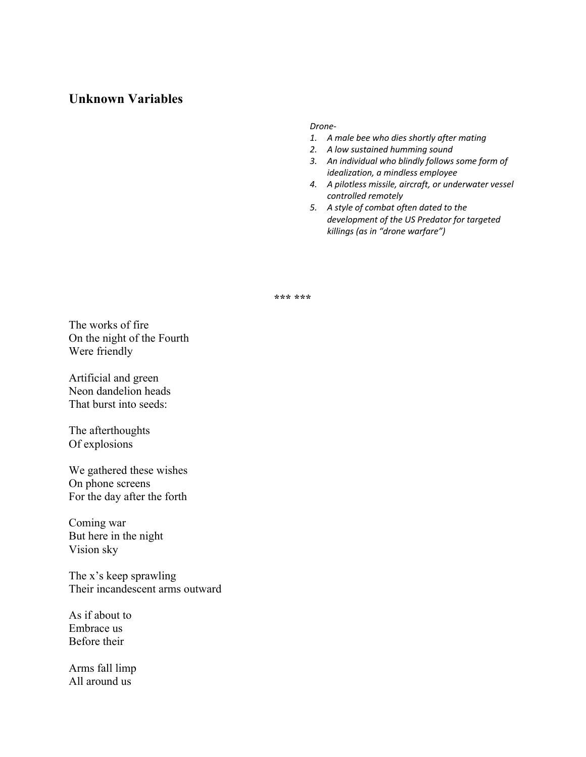# **Unknown Variables**

## *Drone-*

- *1. A male bee who dies shortly after mating*
- *2. A low sustained humming sound*
- *3. An individual who blindly follows some form of idealization, a mindless employee*
- *4. A pilotless missile, aircraft, or underwater vessel controlled remotely*
- *5. A style of combat often dated to the development of the US Predator for targeted killings (as in "drone warfare")*

**\*\*\* \*\*\***

The works of fire On the night of the Fourth Were friendly

Artificial and green Neon dandelion heads That burst into seeds:

The afterthoughts Of explosions

We gathered these wishes On phone screens For the day after the forth

Coming war But here in the night Vision sky

The x's keep sprawling Their incandescent arms outward

As if about to Embrace us Before their

Arms fall limp All around us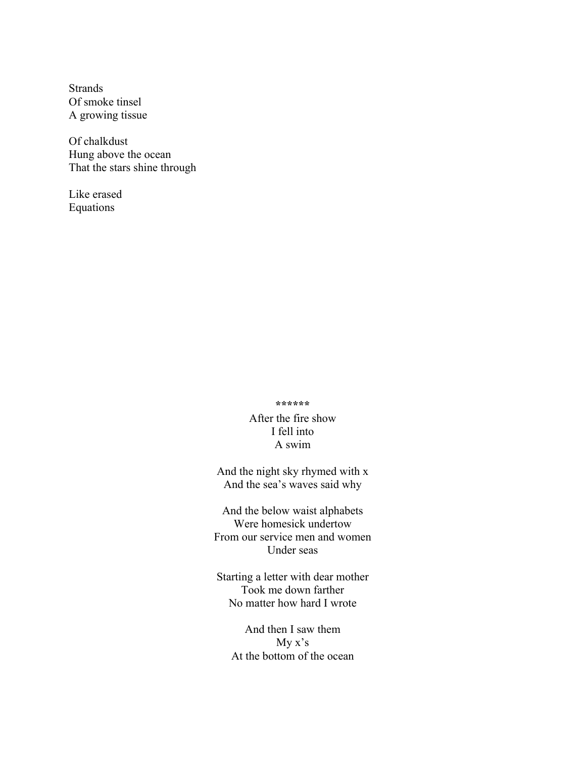Strands Of smoke tinsel A growing tissue

Of chalkdust Hung above the ocean That the stars shine through

Like erased Equations

### **\*\*\*\*\*\***

After the fire show I fell into A swim

And the night sky rhymed with x And the sea's waves said why

And the below waist alphabets Were homesick undertow From our service men and women Under seas

Starting a letter with dear mother Took me down farther No matter how hard I wrote

And then I saw them My x's At the bottom of the ocean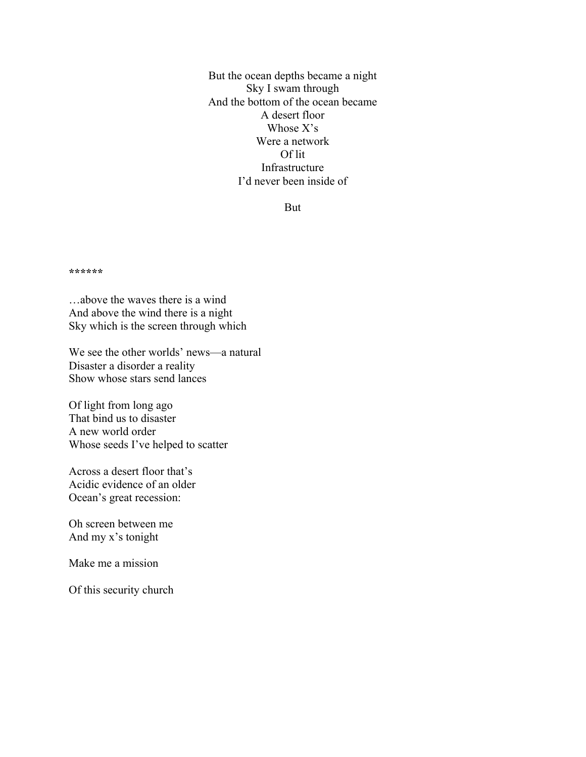But the ocean depths became a night Sky I swam through And the bottom of the ocean became A desert floor Whose X's Were a network Of lit Infrastructure I'd never been inside of

But

**\*\*\*\*\*\***

…above the waves there is a wind And above the wind there is a night Sky which is the screen through which

We see the other worlds' news—a natural Disaster a disorder a reality Show whose stars send lances

Of light from long ago That bind us to disaster A new world order Whose seeds I've helped to scatter

Across a desert floor that's Acidic evidence of an older Ocean's great recession:

Oh screen between me And my x's tonight

Make me a mission

Of this security church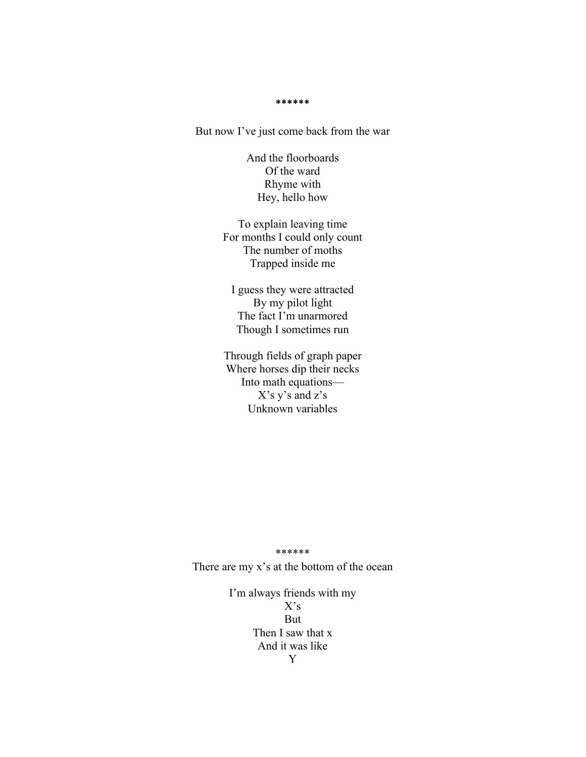**\*\*\*\*\*\***

But now I've just come back from the war

And the floorboards Of the ward Rhyme with Hey, hello how

To explain leaving time For months I could only count The number of moths Trapped inside me

I guess they were attracted By my pilot light The fact I'm unarmored Though I sometimes run

Through fields of graph paper Where horses dip their necks Into math equations— X's y's and z's Unknown variables

#### \*\*\*\*\*\*

There are my x's at the bottom of the ocean

I'm always friends with my  $X's$ But Then I saw that x And it was like Y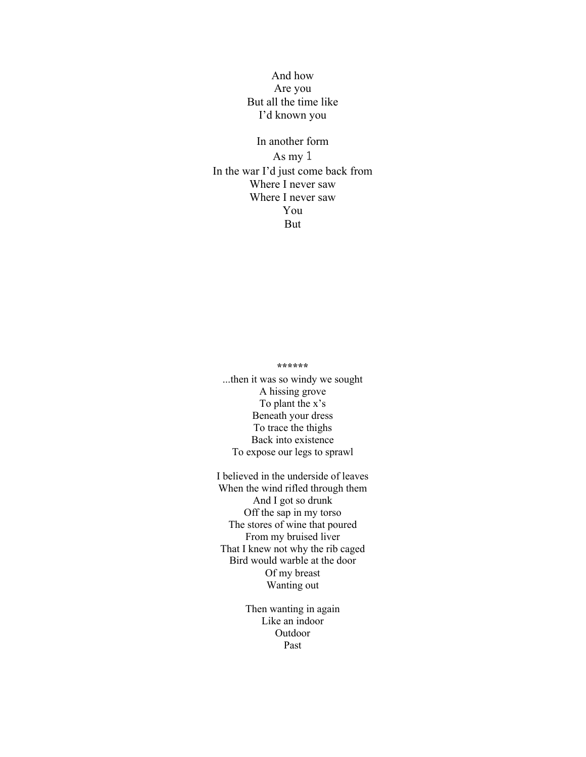## And how Are you But all the time like I'd known you

In another form As my 1 In the war I'd just come back from Where I never saw Where I never saw You But

## **\*\*\*\*\*\***

...then it was so windy we sought A hissing grove To plant the x's Beneath your dress To trace the thighs Back into existence To expose our legs to sprawl

I believed in the underside of leaves When the wind rifled through them And I got so drunk Off the sap in my torso The stores of wine that poured From my bruised liver That I knew not why the rib caged Bird would warble at the door Of my breast Wanting out

> Then wanting in again Like an indoor Outdoor Past